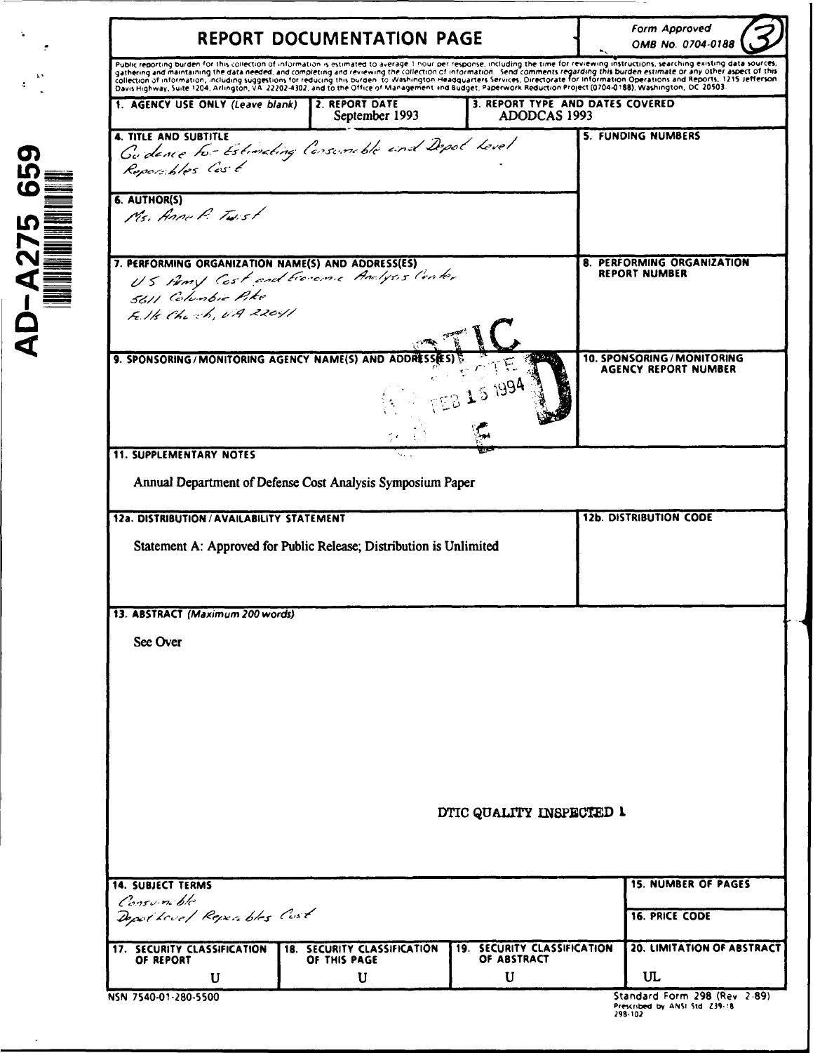|                                                                                                                                                  | REPORT DOCUMENTATION PAGE                          |                                                   |                                                                                                                                                                                                                                                                                                                                                                                                                              |
|--------------------------------------------------------------------------------------------------------------------------------------------------|----------------------------------------------------|---------------------------------------------------|------------------------------------------------------------------------------------------------------------------------------------------------------------------------------------------------------------------------------------------------------------------------------------------------------------------------------------------------------------------------------------------------------------------------------|
|                                                                                                                                                  |                                                    |                                                   | Public reporting burden for this collection of information is estimated to average 1 hour per response, including the time for reviewing instructions, searching existing data sources,<br>radiction and maintaining the data needed, and completing and reviewing the collection of information. Send comments regarding this burden estimate or any other aspect of this<br>collection of information, including suggestio |
| 1. AGENCY USE ONLY (Leave blank)                                                                                                                 | 2. REPORT DATE<br>September 1993                   | 3. REPORT TYPE AND DATES COVERED<br>ADODCAS 1993  |                                                                                                                                                                                                                                                                                                                                                                                                                              |
| <b>4. TITLE AND SUBTITLE</b><br>Guidance to-Estimating Consumible and Depot Level<br>Reportbles Cast                                             |                                                    |                                                   | 5. FUNDING NUMBERS                                                                                                                                                                                                                                                                                                                                                                                                           |
| 6. AUTHOR(S)<br>Ms. Anne P. Twist                                                                                                                |                                                    |                                                   |                                                                                                                                                                                                                                                                                                                                                                                                                              |
| 7. PERFORMING ORGANIZATION NAME(S) AND ADDRESS(ES)<br>U.S. Homy Cost and Ecocome Analysis Conter<br>5611 Columbia Pike<br>Fells Church, UA 22041 |                                                    |                                                   | 8. PERFORMING ORGANIZATION<br><b>REPORT NUMBER</b>                                                                                                                                                                                                                                                                                                                                                                           |
| 9. SPONSORING/MONITORING AGENCY NAME(S) AND ADDRESSES                                                                                            |                                                    | 15 1994                                           | 10. SPONSORING / MONITORING<br><b>AGENCY REPORT NUMBER</b>                                                                                                                                                                                                                                                                                                                                                                   |
| <b>11. SUPPLEMENTARY NOTES</b>                                                                                                                   |                                                    |                                                   |                                                                                                                                                                                                                                                                                                                                                                                                                              |
| Annual Department of Defense Cost Analysis Symposium Paper                                                                                       |                                                    |                                                   |                                                                                                                                                                                                                                                                                                                                                                                                                              |
|                                                                                                                                                  |                                                    |                                                   |                                                                                                                                                                                                                                                                                                                                                                                                                              |
| 12a. DISTRIBUTION / AVAILABILITY STATEMENT                                                                                                       |                                                    |                                                   | <b>12b. DISTRIBUTION CODE</b>                                                                                                                                                                                                                                                                                                                                                                                                |
|                                                                                                                                                  |                                                    |                                                   |                                                                                                                                                                                                                                                                                                                                                                                                                              |
| Statement A: Approved for Public Release; Distribution is Unlimited                                                                              |                                                    |                                                   |                                                                                                                                                                                                                                                                                                                                                                                                                              |
|                                                                                                                                                  |                                                    |                                                   |                                                                                                                                                                                                                                                                                                                                                                                                                              |
| 13. ABSTRACT (Maximum 200 words)                                                                                                                 |                                                    |                                                   |                                                                                                                                                                                                                                                                                                                                                                                                                              |
| See Over                                                                                                                                         |                                                    |                                                   |                                                                                                                                                                                                                                                                                                                                                                                                                              |
|                                                                                                                                                  |                                                    |                                                   |                                                                                                                                                                                                                                                                                                                                                                                                                              |
|                                                                                                                                                  |                                                    |                                                   |                                                                                                                                                                                                                                                                                                                                                                                                                              |
|                                                                                                                                                  |                                                    |                                                   |                                                                                                                                                                                                                                                                                                                                                                                                                              |
|                                                                                                                                                  |                                                    |                                                   |                                                                                                                                                                                                                                                                                                                                                                                                                              |
|                                                                                                                                                  |                                                    |                                                   |                                                                                                                                                                                                                                                                                                                                                                                                                              |
|                                                                                                                                                  |                                                    | DTIC QUALITY INSPECTED 1                          |                                                                                                                                                                                                                                                                                                                                                                                                                              |
|                                                                                                                                                  |                                                    |                                                   |                                                                                                                                                                                                                                                                                                                                                                                                                              |
|                                                                                                                                                  |                                                    |                                                   |                                                                                                                                                                                                                                                                                                                                                                                                                              |
| Consum ble                                                                                                                                       |                                                    |                                                   | <b>15. NUMBER OF PAGES</b>                                                                                                                                                                                                                                                                                                                                                                                                   |
| <b>14. SUBJECT TERMS</b><br>Depothevel Repeables Cust                                                                                            |                                                    |                                                   | <b>16. PRICE CODE</b>                                                                                                                                                                                                                                                                                                                                                                                                        |
| 17. SECURITY CLASSIFICATION<br>OF REPORT                                                                                                         | <b>18. SECURITY CLASSIFICATION</b><br>OF THIS PAGE | <b>19. SECURITY CLASSIFICATION</b><br>OF ABSTRACT | 20. LIMITATION OF ABSTRACT                                                                                                                                                                                                                                                                                                                                                                                                   |

-• 6. AUTHOR(S)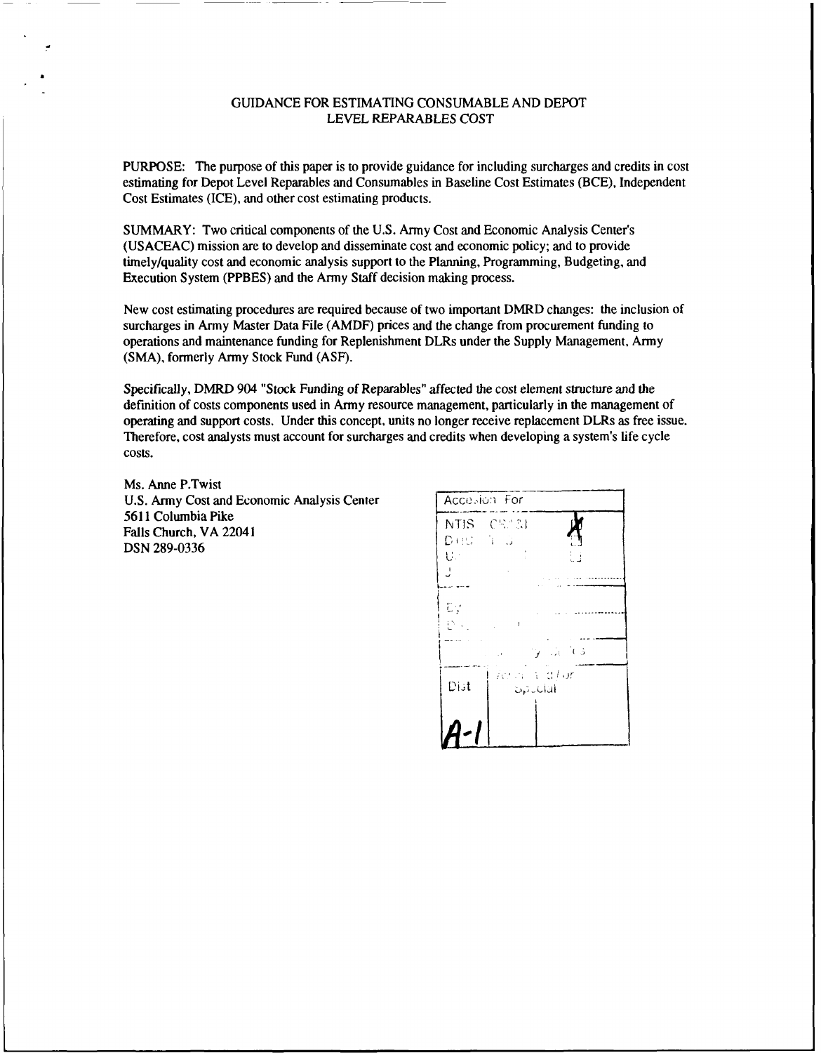#### GUIDANCE FOR ESTIMATING CONSUMABLE AND DEPOT LEVEL REPARABLES COST

PURPOSE: The purpose of this paper is to provide guidance for including surcharges and credits in cost estimating for Depot Level Reparables and Consumables in Baseline Cost Estimates (BCE), Independent Cost Estimates (ICE), and other cost estimating products.

SUMMARY: Two critical components of the U.S. Army Cost and Economic Analysis Center's (USACEAC) mission are to develop and disseminate cost and economic policy; and to provide timely/quality cost and economic analysis support to the Planning, Programming, Budgeting, and Execution System (PPBES) and the Army Staff decision making process.

New cost estimating procedures are required because of two important DMRD changes: the inclusion of surcharges in Army Master Data File (AMDF) prices and the change from procurement funding to operations and maintenance funding for Replenishment DLRs under the Supply Management, Army (SMA), formerly Army Stock Fund (ASF).

Specifically, DMRD 904 "Stock Funding of Reparables" affected the cost element structure and the definition of costs components used in Army resource management, particularly in the management of operating and support costs. Under this concept, units no longer receive replacement DLRs as free issue. Therefore, cost analysts must account for surcharges and credits when developing a system's life cycle costs.

Ms. Anne P.Twist U.S. Army Cost and Economic Analysis Center | Accession For 5611 Columbia Pike **Falls Church, VA 22041 NTIS CSAM**<br>**Falls Church, VA 22041 NTIS CSAM** DSN 289-0336

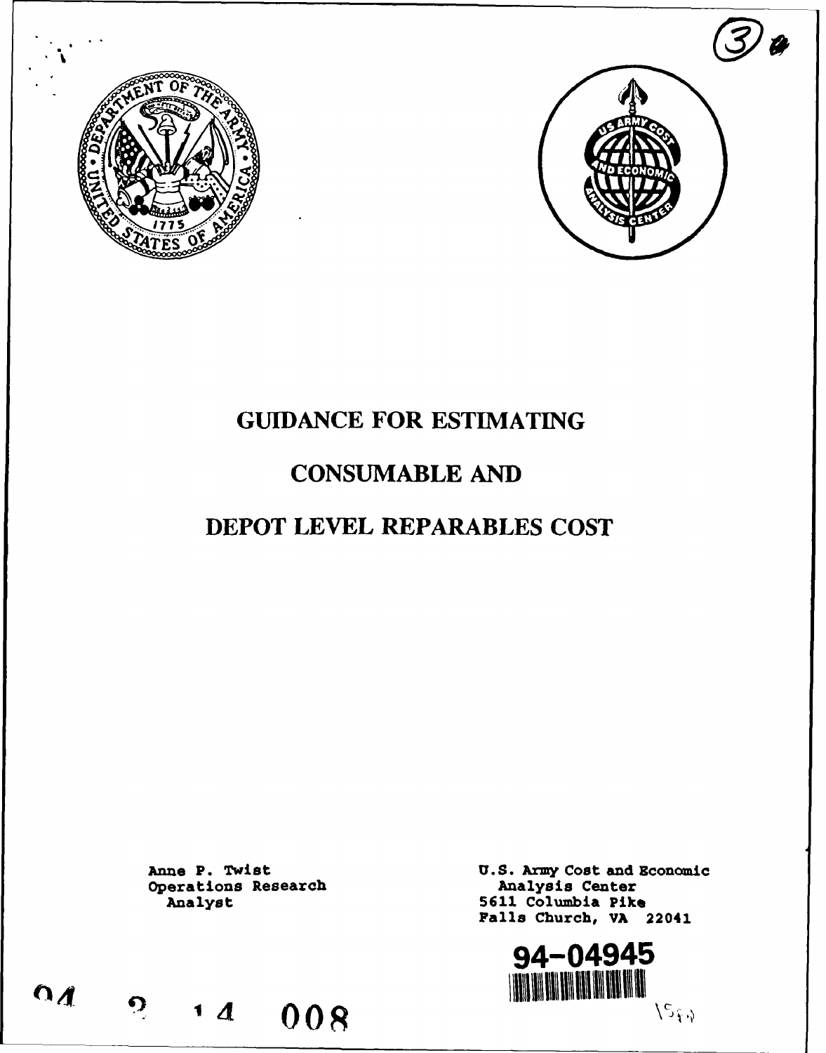



# **GUIDANCE** FOR **ESTIMATING**

## **CONSUMABLE AND**

## DEPOT LEVEL REPARABLES **COST**

Operations Research<br>
Analyst

Anne P. Twist U.S. Army Cost and Economic Operations Research U.S. Analysis Center 5611 Columbia Pike Falls Church, VA 22041

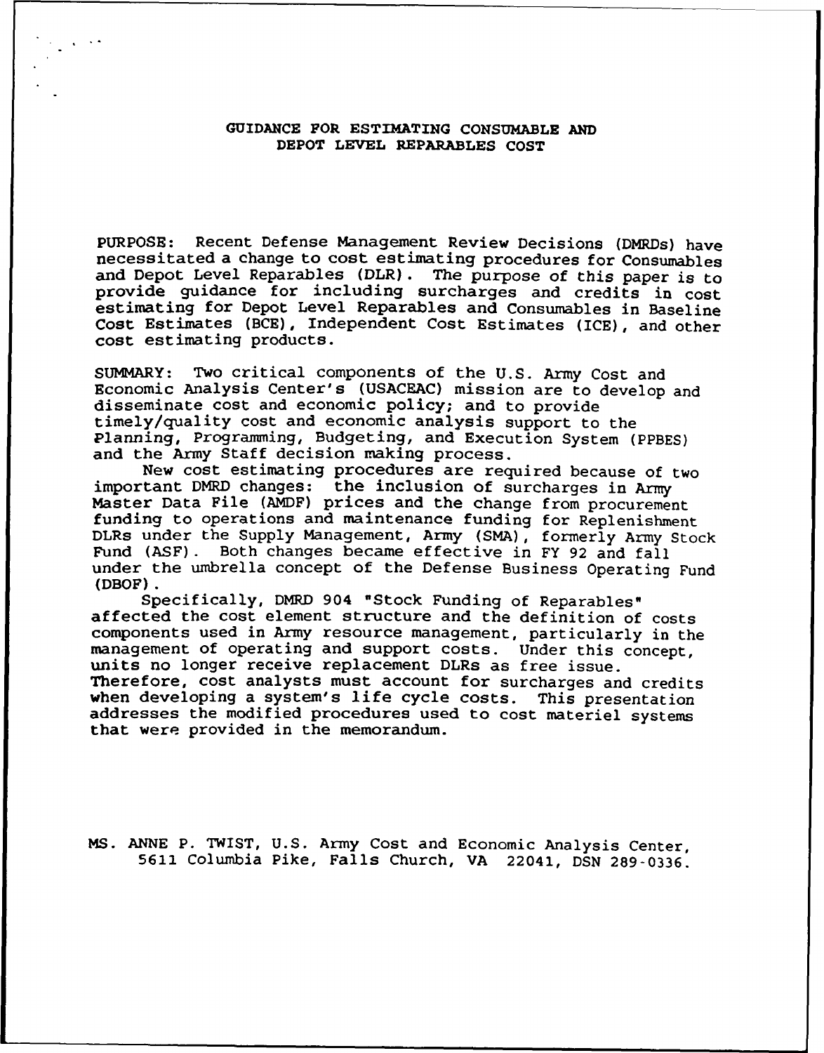## GUIDANCE FOR ESTIMATING CONSUMABLE **AND** DEPOT LEVEL REPARABLES COST

PURPOSE: Recent Defense Management Review Decisions (DMRDs) have necessitated a change to cost estimating procedures for Consumables and Depot Level Reparables (DLR). The purpose of this paper is to provide quidance for including surcharges and credits in cost estimating for Depot Level Reparables and Consumables in Baseline Cost Estimates (BCE), Independent Cost Estimates (ICE), and other cost estimating products.

SUMMARY: Two critical components of the U.S. Army Cost and Economic Analysis Center's (USACEAC) mission are to develop and disseminate cost and economic policy; and to provide timely/quality cost and economic analysis support to the Planning, Programming, Budgeting, and Execution System (PPBES) and the Army Staff decision making process.

New cost estimating procedures are required because of two important DMRD changes: the inclusion of surcharges in Army Master Data File (AMDF) prices and the change from procurement funding to operations and maintenance funding for Replenishment DLRs under the Supply Management, Army (SMA), formerly Army Stock Fund (ASF). Both changes became effective in FY 92 and fall under the umbrella concept of the Defense Business Operating Fund (DBOF).

Specifically, DMRD 904 "Stock Funding of Reparables" affected the cost element structure and the definition of costs components used in Army resource management, particularly in the management of operating and support costs. Under this concept, units no longer receive replacement DLRs as free issue. Therefore, cost analysts must account for surcharges and credits when developing a system's life cycle costs. This presentation addresses the modified procedures used to cost materiel systems that were provided in the memorandum.

MS. ANNE P. TWIST, U.S. Army Cost and Economic Analysis Center, 5611 Columbia Pike, Falls Church, VA 22041, DSN 289-0336.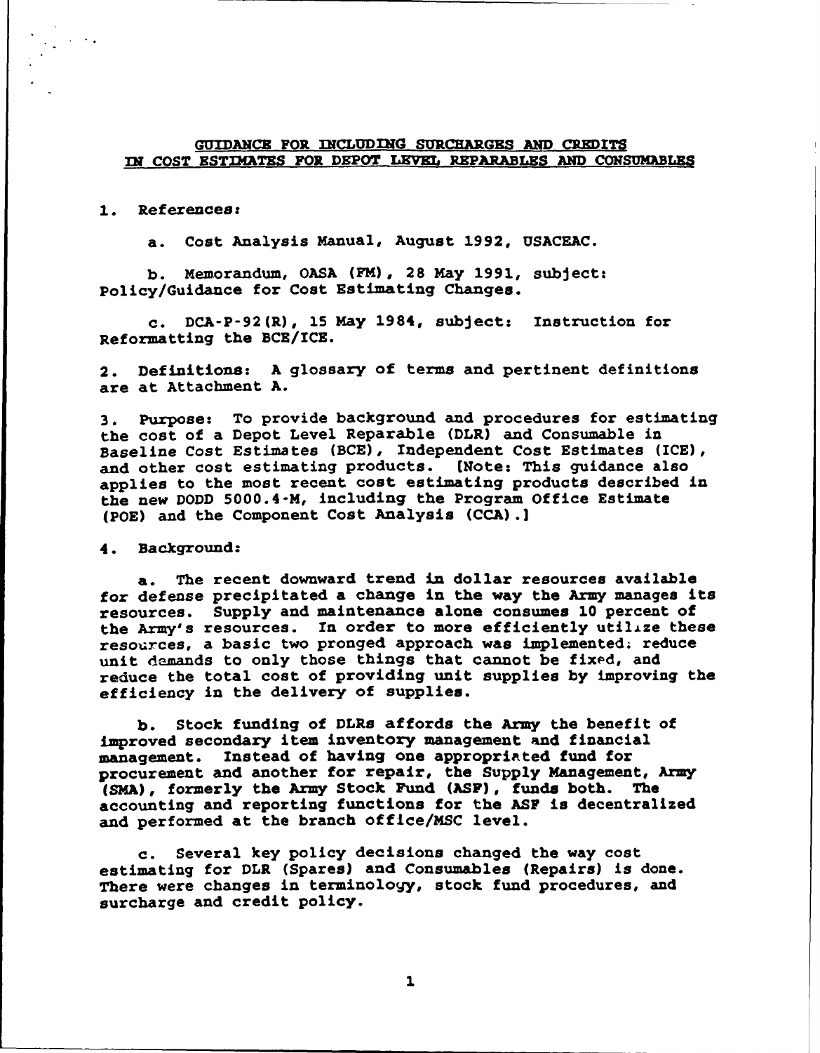#### GUIDANCE FOR INCLUDING SURCHARGES AND CREDITS *IN* COST ESTIMATES FOR DEPOT LEVEL REPARABLES AND CONSUMABLES

#### 1. References:

a. Cost Analysis Manual, August 1992, USACEAC.

b. Memorandum, OASA (FM), 28 May 1991, subject: Policy/Guidance for Cost Estimating Changes.

c. DCA-P-92(R), 15 May 1984, subject: Instruction for Reformatting the BCE/ICE.

2. Definitions: A glossary of terms and pertinent definitions are at Attachment A.

3. Purpose: To provide background and procedures for estimating the cost of a Depot Level Reparable (DLR) and Consumable in Baseline Cost Estimates (BCE), Independent Cost Estimates (ICE), and other cost estimating products. (Note: This guidance also applies to the most recent cost estimating products described in the new DODD 5000.4-M, including the Program Office Estimate (POE) and the Component Cost Analysis (CCA) .]

4. Background:

a. The recent downward trend in dollar resources available for defense precipitated a change in the way the Army manages its resources. Supply and maintenance alone consumes **10** percent of the Army's resources. In order to more efficiently utilize these resources, a basic two pronged approach was implemented; reduce unit demands to only those things that cannot be fixed, and reduce the total cost of providing unit supplies by improving the efficiency in the delivery of supplies.

b. Stock funding of DLRs affords the Army the benefit of improved secondary item inventory management and financial management. Instead of having one appropriated fund for procurement and another for repair, the Supply Management, Army (SMA), formerly the Army Stock Fund (ASP), funds both. The accounting and reporting functions for the AS? is decentralized and performed at the branch office/MSC level.

c. Several key policy decisions changed the way cost estimating for DLR (Spares) and Consumables (Repairs) is done. There were changes in terminology, stock fund procedures, and surcharge and credit policy.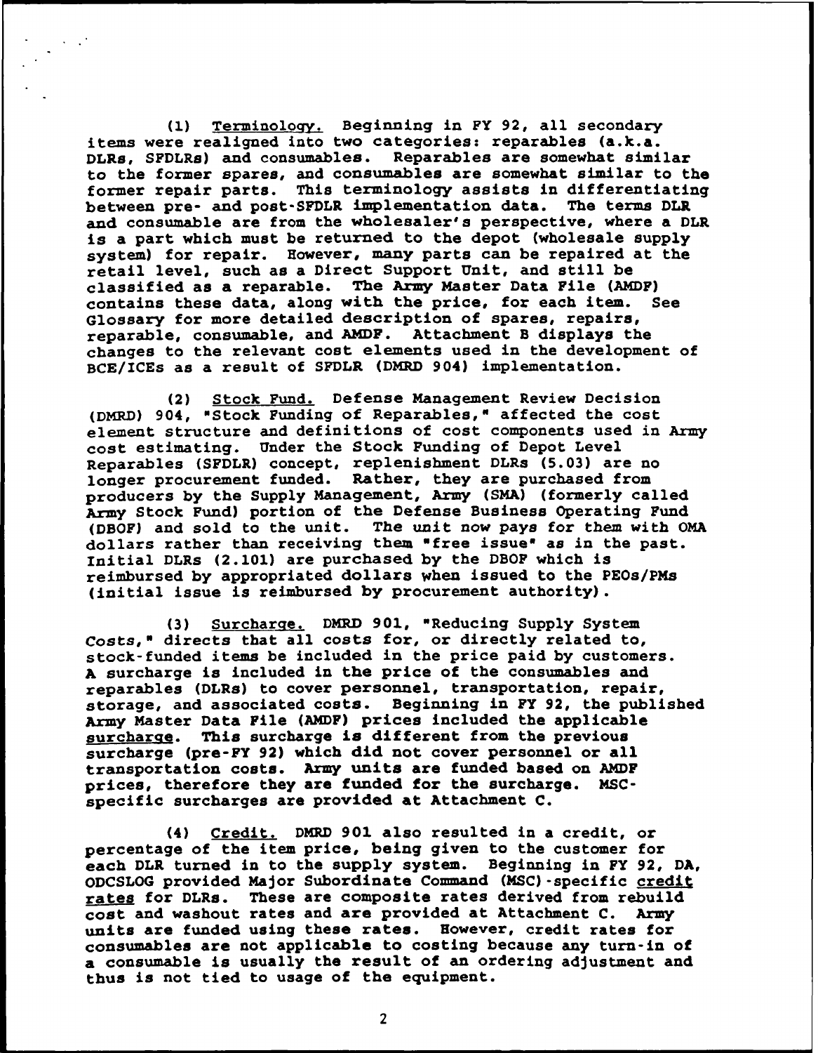(1) Terminology. Beginning in FY 92, all secondary items were realigned into two categories: reparables (a.k.a. DLRs, SFDLRs) and consumables. Reparables are somewhat similar to the former spares, and consumables are somewhat similar to the former repair parts. This terminology assists in differentiating between pre- and post-SFDLR implementation data. The terms DLR and consumable are from the wholesaler's perspective, where a DLR is a part which must be returned to the depot (wholesale supply system) for repair. However, many parts can be repaired at the retail level, such as a Direct Support Unit, and still be classified as a reparable. The Army Master Data File (AMDF)<br>contains these data, along with the price, for each item. See contains these data, along with the price, for each item. Glossary for more detailed description of spares, repairs, reparable, consumable, and AMDF. Attachment B displays the changes to the relevant cost elements used in the development of BCE/ICEs as a result of SFDLR (DMRD 904) implementation.

(2) Stock Fund. Defense Management Review Decision (DMRD) 904, "Stock Funding of Reparables," affected the cost element structure and definitions of cost components used in Army cost estimating. Under the Stock Funding of Depot Level Reparables (SFDLR) concept, replenishment DLRs (5.03) are no longer procurement funded. Rather, they are purchased from producers by the Supply Management, Army (SMA) (formerly called Army Stock Fund) portion of the Defense Business Operating Fund (DBOF) and sold to the unit. The unit now pays for them with OMA dollars rather than receiving them "free issue" as in the past. Initial DLRs (2.101) are purchased by the DBOF which is reimbursed by appropriated dollars when issued to the PEOs/PMs (initial issue is reimbursed by procurement authority).

**(3)** Surcharge. DMRD 901, "Reducing Supply System *Costs,"* directs that all costs for, or directly related to, stock-funded items be included in the price paid by customers. A surcharge is included in the price of the consumables and reparables (DLRs) to cover personnel, transportation, repair, storage, and associated costs. Beginning in FY 92, the published Army Master Data File (ANDF) prices included the applicable surcharge. This surcharge is different from the previous surcharge (pre-FY 92) which did not cover personnel or all transportation costs. Army units are funded based on AMDF prices, therefore they are funded for the surcharge. MSCspecific surcharges are provided at Attachment C.

(4) Credit. DMRD 901 also resulted in a credit, or percentage of the item price, being given to the customer for each DLR turned in to the supply system. Beginning in FY 92, **DA,** ODCSLOG provided Major Subordinate Command (MSC) -specific credit rates for DLRs. These are composite rates derived from rebuild cost and washout rates and are provided at Attachment C. Army units are funded using these rates. However, credit rates for consumables are not applicable to costing because any turn-in of a consumable is usually the result of an ordering adjustment and thus is not tied to usage of the equipment.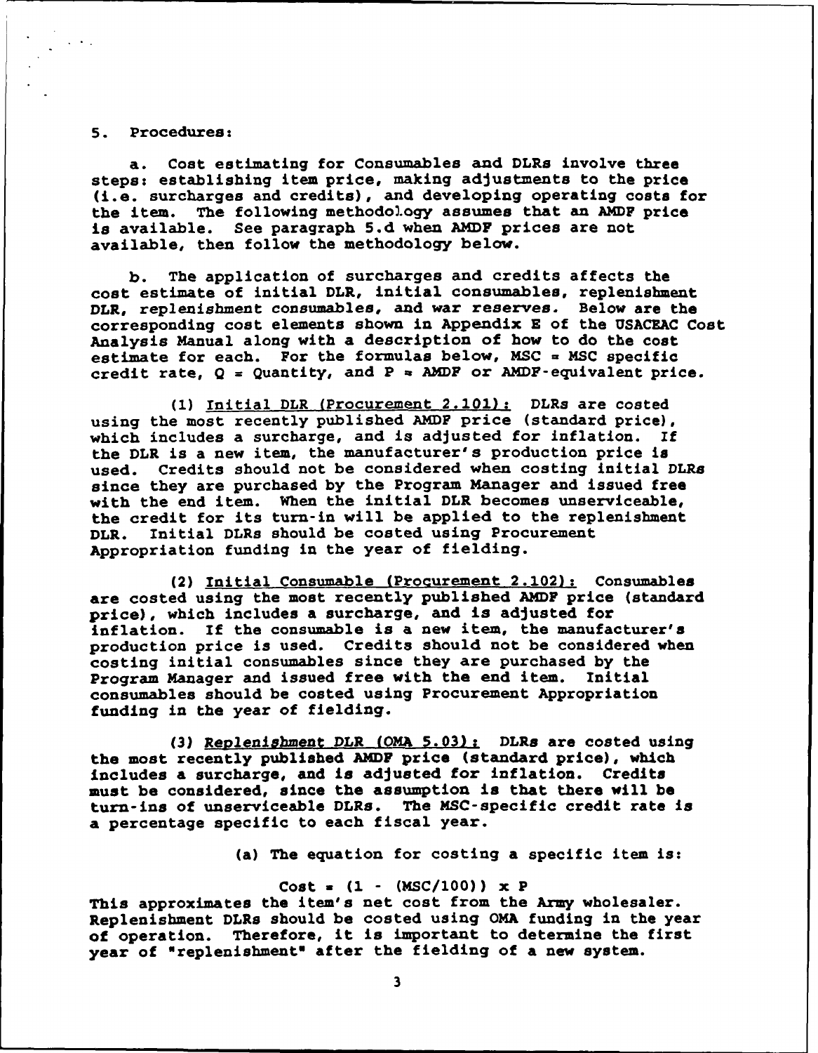#### 5. Procedures:

a. Cost estimating for Consumables and DLRs involve three steps: establishing item price, making adjustments to the price (i.e. surcharges and credits), and developing operating costs for the item. The following methodol.ogy assumes that an AMDF price is available. See paragraph **5.d** when AMDF prices are not available, then follow the methodology below.

b. The application of surcharges and credits affects the cost estimate of initial DLR, initial consumables, replenishment DLR, replenishment consumables, and war reserves. Below are the corresponding cost elements shown in Appendix E of the USACEAC Cost Analysis Manual along with a description of how to do the cost estimate for each. For the formulas below, MSC **=** MSC specific credit rate,  $Q =$  Quantity, and  $P =$  AMDF or AMDF-equivalent price.

(1) Initial DLR (Procurement 2.101): DLRs are costed using the most recently published AMDF price (standard price), which includes a surcharge, and is adjusted for inflation. If the DLR is a new item, the manufacturer's production price is used. Credits should not be considered when costing initial DLRs since they are purchased by the Program Manager and issued free with the end item. When the initial DLR becomes unserviceable, the credit for its turn-in will be applied to the replenishment<br>DLR. Initial DLRs should be costed using Procurement Initial DLRs should be costed using Procurement Appropriation funding in the year of fielding.

(2) Initial Consumable (Procurement 2.102): Consumables are costed using the most recently published AMDF price (standard price), which includes a surcharge, and is adjusted for inflation. If the consumable is a new item, the manufacturer's production price is used. Credits should not be considered when costing initial consumables since they are purchased by the Program Manager and issued free with the end item. Initial consumables should be costed using Procurement Appropriation funding in the year of fielding.

**(3)** Replenishment DLR (OMA 5.03): DLRs are costed using the most recently published AMDF price (standard price), which includes a surcharge, and is adjusted for inflation. Credits must be considered, since the assumption is that there will be turn-ins of unserviceable DLRs. The MSC-specific credit rate is a percentage specific to each fiscal year.

(a) The equation for costing a specific item is:

#### Cost **a (1** - (MSC/100)) x P

This approximates the item's net cost from the Army wholesaler. Replenishment DLRs should be costed using OMA funding in the year<br>of operation. Therefore, it is important to determine the first Therefore, it is important to determine the first year of "replenishment" after the fielding of a new system.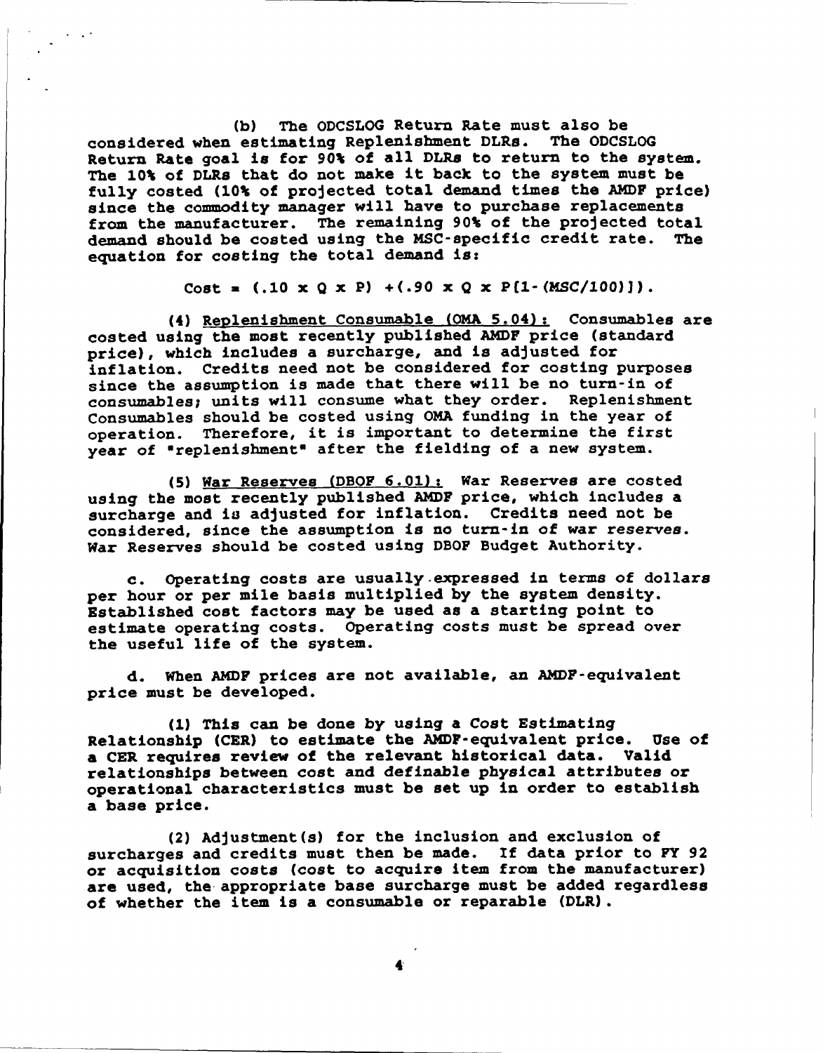**(b)** The ODCSLOG Return Rate must also be considered when estimating Replenishment DLRs. The ODCSLOG Return Rate goal is for 90% of all DLRs to return to the system. The 10% of DLRs that do not make it back to the system must be fully costed (10% of projected total demand times the AMDF price) since the commodity manager will have to purchase replacements from the manufacturer. The remaining 90% of the projected total demand should be costed using the MSC-specific credit rate. The equation for costing the total demand *is:*

Cost =  $(.10 \times Q \times P)$  + $(.90 \times Q \times P[1-(MSC/100)]$ .

(4) Replenishment Consumable (OMA 5.04): Consumables are costed using the most recently published AMDF price (standard price), which includes a surcharge, and is adjusted for inflation. Credits need not be considered for costing purposes since the assumption is made that there will be no turn-in of consumables; units will consume what they order. Replenishment Consumables should be costed using OMA funding in the year of operation. Therefore, it is important to determine the first year of "replenishment" after the fielding of a new system.

(5) War Reserves (DBOF 6.01): War Reserves are costed using the most recently published AMDF price, which includes a surcharge and is adjusted for inflation. Credits need not be considered, since the assumption is no turn-in of war reserves. War Reserves should be costed using DBOF Budget Authority.

c. Operating costs are usually.expressed in terms of dollars per hour or per mile basis multiplied by the system density. Established cost factors may be used as a starting point to estimate operating costs. Operating costs must be spread over the useful life of the system.

d. When AMDF prices are not available, an AMDF-equivalent price must be developed.

**(1)** This can be done by using a Cost Estimating Relationship (CER) to estimate the AMDF-equivalent price. Use of a CER requires review of the relevant historical data. Valid relationships between cost and definable physical attributes or operational characteristics must be set up in order to establish a base price.

(2) Adjustment(s) for the inclusion and exclusion of surcharges and credits must then be made. If data prior to FY 92 or acquisition costs (cost to acquire item from the manufacturer) are used, the appropriate base surcharge must be added regardless of whether the item is a consumable or reparable (DLR).

4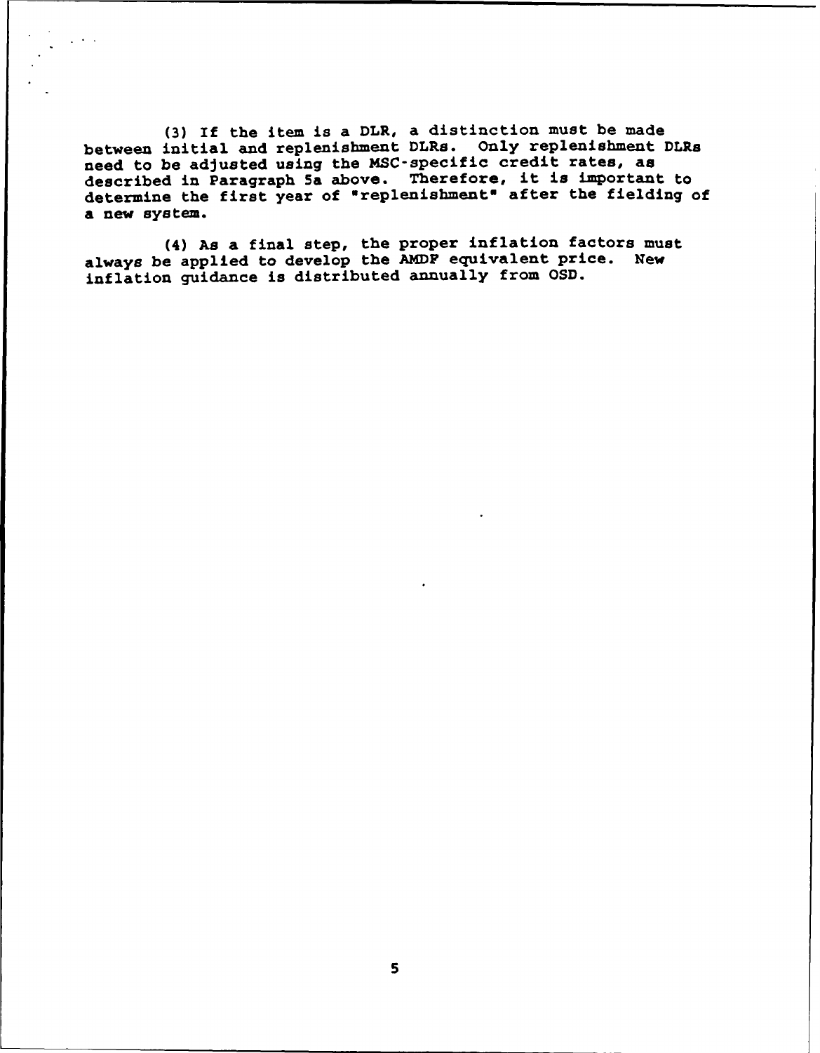(3) If the item is a DLR, a distinction must be made between initial and replenishment DLRs. Only replenishment DLRs need to be adjusted using the MSC-specific credit rates, as described in Paragraph 5a above. Therefore, it is important to determine the first year of "replenishment" after the fielding of a new system.

(4) As a final step, the proper inflation factors must always be applied to develop the AMDF equivalent price. New inflation guidance is distributed annually from OSD.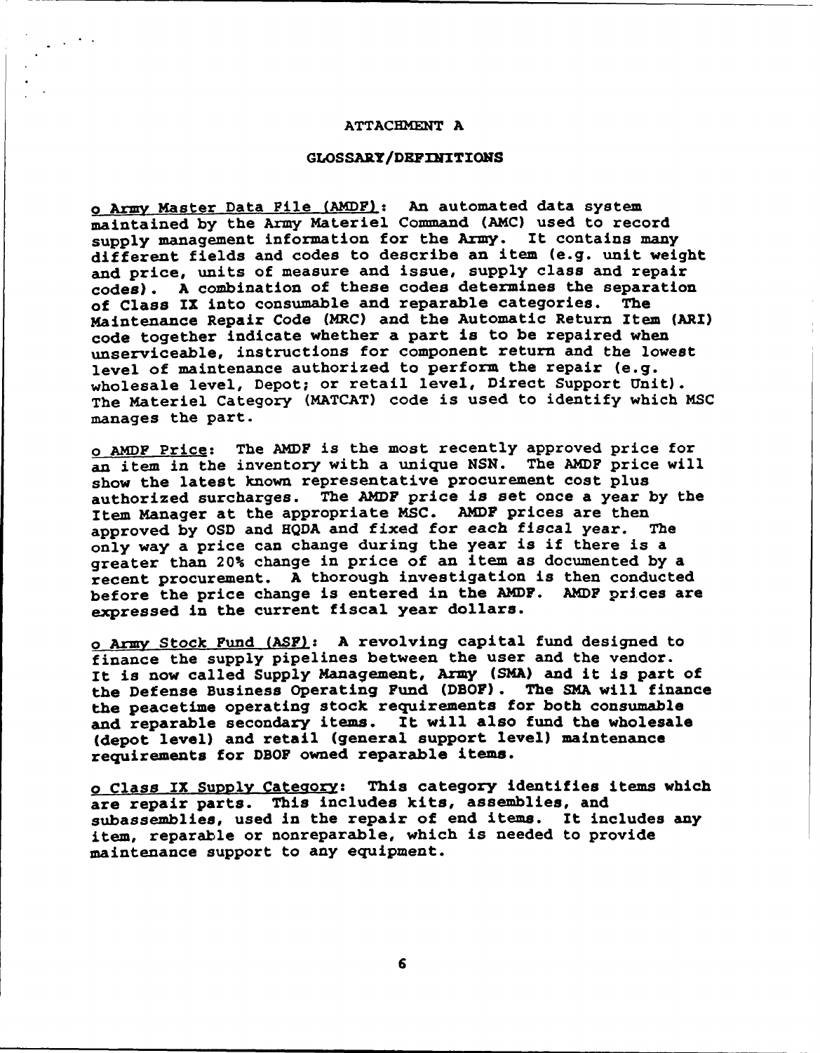#### **ATTACHMXENT A**

#### **GLOSSARY/DEFINITIONS**

o Army Master Data File (AMDF): An automated data system maintained by the Army Materiel Command (AMC) used to record supply management information for the Army. It contains many different fields and codes to describe an item (e.g. unit weight and price, units of measure and issue, supply class and repair codes). A combination of these codes determines the separation<br>of Class IX into consumable and reparable categories. The of Class IX into consumable and reparable categories. Maintenance Repair Code (MRC) and the Automatic Return Item (ARI) code together indicate whether a part is to be repaired when unserviceable, instructions for component return and the lowest level of maintenance authorized to perform the repair (e.g. wholesale level, Depot; or retail level, Direct Support Unit). The Materiel Category (MATCAT) code is used to identify which MSC manages the part.

o AMDF Price: The AMDF is the most recently approved price for an item in the inventory with a unique NSN. The AMDF price will show the latest known representative procurement cost plus authorized surcharges. The AMDF price is set once a year by the Item Manager at the appropriate MSC. AMDF prices are then<br>approved by OSD and HODA and fixed for each fiscal year. The approved by OSD and HQDA and fixed for each fiscal year. only way a price can change during the year is if there is a greater than 20% change in price of an item as documented by a recent procurement. A thorough investigation is then conducted before the price change is entered in the AMDF. AMDF prices are expressed in the current fiscal year dollars.

o Army Stock Fund (ASF): A revolving capital fund designed to finance the supply pipelines between the user and the vendor. It is now called Supply Management, Army **(SMA)** and it is part of the Defense Business Operating Fund (DBOF). The SMA will finance the peacetime operating stock requirements for both consumable and reparable secondary items. It will also fund the wholesale (depot level) and retail (general support level) maintenance requirements for DBOF owned reparable items.

o Class IX Supply Category: This category identifies items which are repair parts. This includes kits, assemblies, and subassemblies, used in the repair of end items. It includes any item, reparable or nonreparable, which is needed to provide maintenance support to any equipment.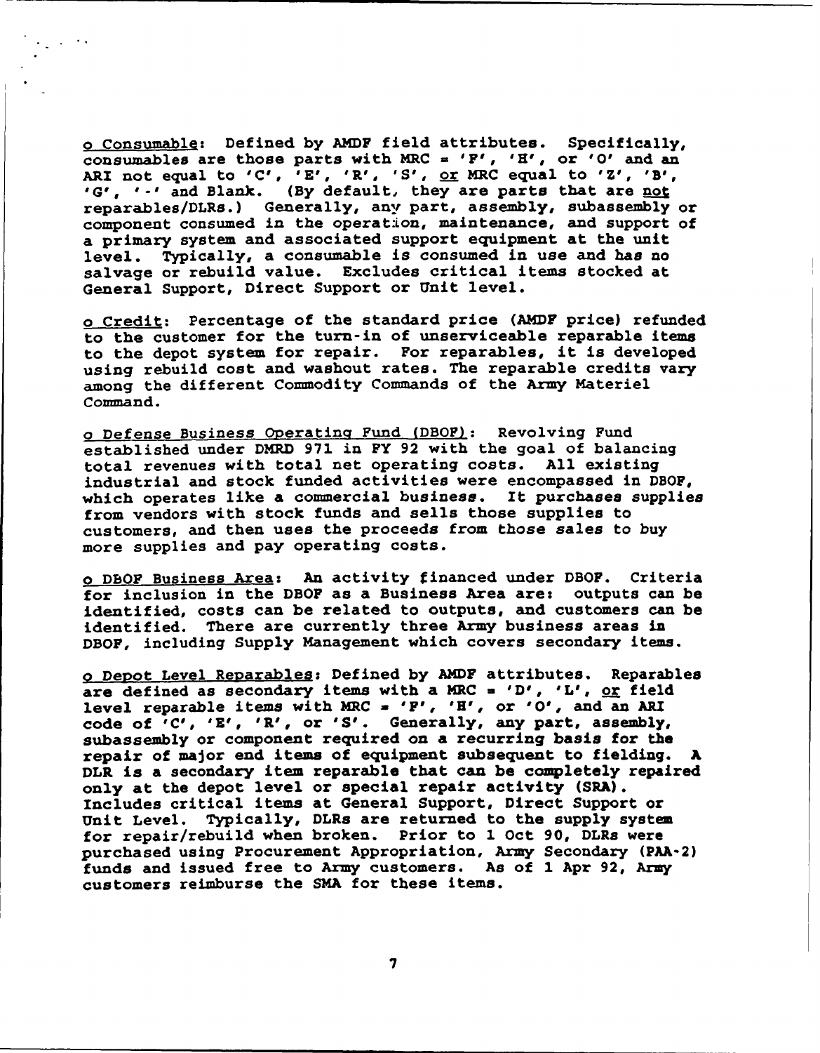o Consumable: Defined by AMDF field attributes. Specifically, consumables are those parts with MRC = 'F', 'H', or 'O' and an ARI not equal to 'C', 'E', 'R', 'S', <u>or</u> MRC equal to 'Z', 'B', 'G', '.' and Blank. (By default, they are parts that are not reparables/DLRs.) Generally, any part, assembly, subassembly or component consumed in the operat:lon, maintenance, and support of a primary system and associated support equipment at the unit level. Typically, a consumable is consumed in use and has no salvage or rebuild value. Excludes critical items stocked at General Support, Direct Support or Unit level.

o Credit: Percentage of the standard price (AMDF price) refunded to the customer for the turn-in of unserviceable reparable items to the depot system for repair. For reparables, it is developed using rebuild cost and washout rates. The reparable credits vary among the different Commodity Commands of the Army Materiel Command.

o Defense Business Operating Fund (DBOF): Revolving Fund established under DMRD 971 in FY 92 with the goal of balancing total revenues with total net operating costs. All existing industrial and stock funded activities were encompassed in DBOF, which operates like a commercial business. It purchases supplies from vendors with stock funds and sells those supplies to customers, and then uses the proceeds from those sales to buy more supplies and pay operating costs.

o DBOF Business Area: An activity financed under DBOF. Criteria for inclusion in the DBOF as a Business Area are: outputs can be identified, costs can be related to outputs, and customers can be identified. There are currently three Army business areas in DBOF, including Supply Management which covers secondary items.

o Depot Level Reparables: Defined by AMDF attributes. Reparables are defined as secondary items with a MRC = 'D', 'L', or field level reparable items with MRC **=** 'F', 'H', or '0', and an ARI code of <sup>'</sup>C', 'E', 'R', or 'S'. Generally, any part, assembly, subassembly or component required on a recurring basis for the repair of major end items of equipment subsequent to fielding. DLR is a secondary item reparable that can be completely repaired only at the depot level or special repair activity (SRA). Includes critical items at General Support, Direct Support or Unit Level. Typically, DLRs are returned to the supply system for repair/rebuild when broken. Prior to **1** Oct 90, DLRs were purchased using Procurement Appropriation, Army Secondary (PAA-2) funds and issued free to Army customers. As of 1 Apr 92, Army customers reimburse the SMA for these items.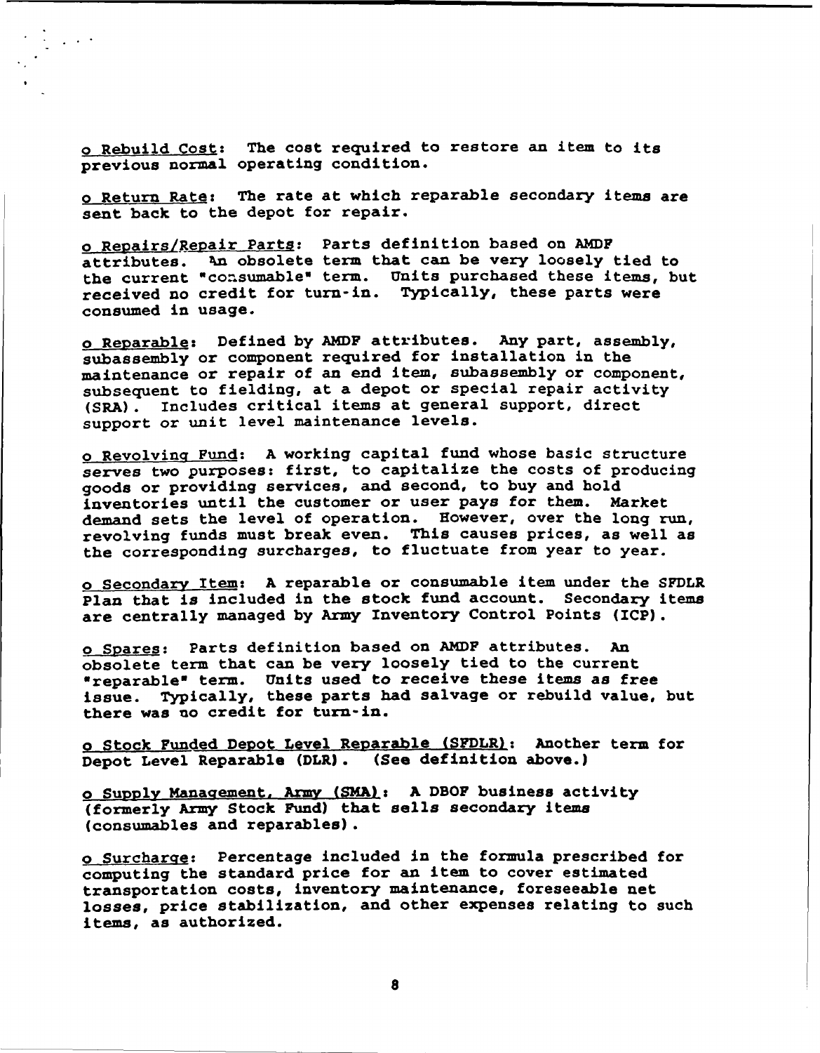o Rebuild Cost: The cost required to restore an item to its previous normal operating condition.

o Return Rate: The rate at which reparable secondary items are sent back to the depot for repair.

o Repairs/Repair Parts: Parts definition based on AMDF attributes. kn obsolete term that can be very loosely tied to the current "consumable" term. Units purchased these items, but received no credit for turn-in. Typically, these parts were consumed in usage.

o Reparable: Defined by AMDF attributes. Any part, assembly, subassembly or component required for installation in the maintenance or repair of an end item, subassembly or component, subsequent to fielding, at a depot or special repair activity (SRA). Includes critical items at general support, direct support or unit level maintenance levels.

o Revolving Fund: A working capital fund whose basic structure serves two purposes: first, to capitalize the costs of producing goods or providing services, and second, to buy and hold inventories until the customer or user pays for them. Market demand sets the level of operation. However, over the long run, revolving funds must break even. This causes prices, as well as the corresponding surcharges, to fluctuate from year to year.

o Secondary Item: A reparable or consumable item under the SFDLR Plan that is included in the stock fund account. Secondary items are centrally managed by Army Inventory Control Points (ICP).

o Spares: Parts definition based on AMDF attributes. An obsolete term that can be very loosely tied to the current obsolete term that can be very loosery trea to the current<br>"reparable" term. Units used to receive these items as free issue. Typically, these parts had salvage or rebuild value, but there was no credit for turn-in.

o Stock Funded Depot Level Reparable (SFDLR): Another term for Depot Level Reparable (DLR). (See definition above.)

<sup>o</sup>**Sugppv** Management, Army (SMA): A DBOF business activity (formerly Army Stock Fund) that sells secondary items (consumables and reparables).

o Surcharge: Percentage included in the formula prescribed for computing the standard price for an item to cover estimated transportation costs, inventory maintenance, foreseeable net losses, price stabilization, and other expenses relating to such items, as authorized.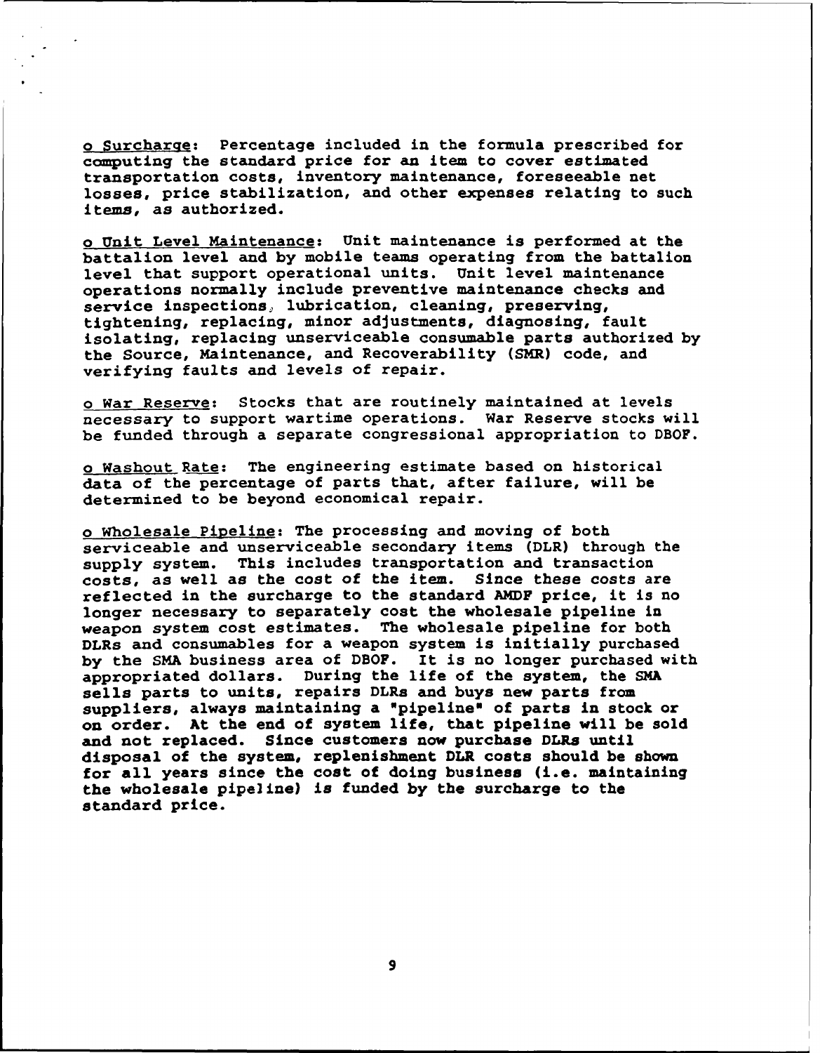o Surcharqe: Percentage included in the formula prescribed for computing the standard price for an item to cover estimated transportation costs, inventory maintenance, foreseeable net losses, price stabilization, and other expenses relating to such items, as authorized.

o Unit Level Maintenance: Unit maintenance is performed at the battalion level and by mobile teams operating from the battalion level that support operational units. Unit level maintenance operations normally include preventive maintenance checks and service inspections, lubrication, cleaning, preserving, tightening, replacing, minor adjustments, diagnosing, fault isolating, replacing unserviceable consumable parts authorized by the Source, Maintenance, and Recoverability (SMR) code, and verifying faults and levels of repair.

o War Reserve: Stocks that are routinely maintained at levels necessary to support wartime operations. War Reserve stocks will be funded through a separate congressional appropriation to DBOF.

o Washout Rate: The engineering estimate based on historical data of the percentage of parts that, after failure, will be determined to be beyond economical repair.

o Wholesale Pipeline: The processing and moving of both serviceable and unserviceable secondary items (DLR) through the supply system. This includes transportation and transaction costs, as well as the cost of the item. Since these costs are reflected in the surcharge to the standard AMDF price, it is no longer necessary to separately cost the wholesale pipeline in weapon system cost estimates. The wholesale pipeline for both DLRs and consumables for a weapon system is initially purchased by the SMA business area of DBOF. It is no longer purchased with appropriated dollars. During the life of the system, the SMA sells parts to units, repairs DLRs and buys new parts from suppliers, always maintaining a "pipeline" of parts in stock or on order. At the end of system life, that pipeline will be sold and not replaced. Since customers now purchase DLRs until disposal of the system, replenishment DLR costs should be shown for all years since the cost of doing business (i.e. maintaining the wholesale pipeline) is funded by the surcharge to the standard price.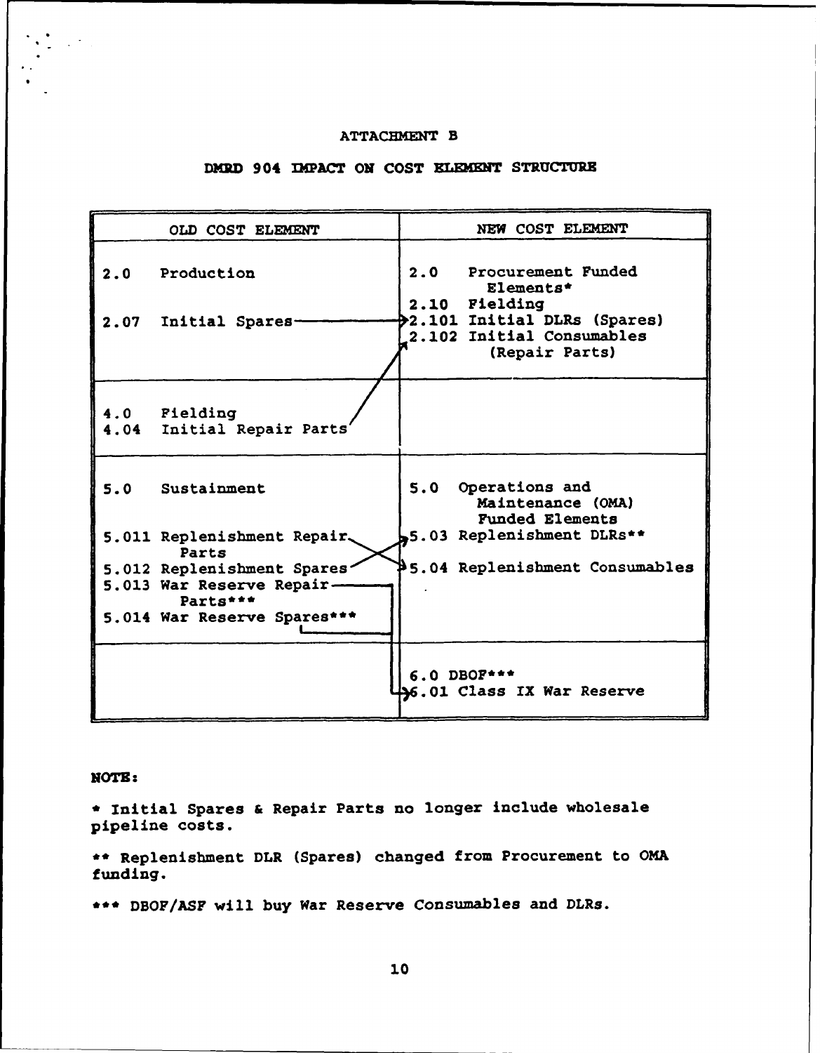### ATTACHMENT B

## **DMRD 904 IMPACT ON COST ELEMENT STRUCTURE**

| OLD COST ELEMENT                                                                                   | NEW COST ELEMENT                                                                                                                      |
|----------------------------------------------------------------------------------------------------|---------------------------------------------------------------------------------------------------------------------------------------|
| 2.0 Production<br>2.07<br>Initial Spares-                                                          | 2.0<br>Procurement Funded<br>Elements*<br>2.10 Fielding<br>2.101 Initial DLRs (Spares)<br>2.102 Initial Consumables<br>(Repair Parts) |
| 4.0 Fielding<br>4.04 Initial Repair Parts'                                                         |                                                                                                                                       |
| 5.0 Sustainment                                                                                    | 5.0 Operations and<br>Maintenance (OMA)<br><b>Funded Elements</b>                                                                     |
| 5.011 Replenishment Repair.<br>Parts                                                               | 5.03 Replenishment DLRs**                                                                                                             |
| 5.012 Replenishment Spares<br>5.013 War Reserve Repair-<br>Parts***<br>5.014 War Reserve Spares*** | \$5.04 Replenishment Consumables                                                                                                      |
|                                                                                                    | $6.0$ DBOF***<br><b>46.01 Class IX War Reserve</b>                                                                                    |

NOTE:

**\*** Initial Spares & Repair Parts no longer include wholesale pipeline costs.

**\*\*** Replenishment DLR (Spares) changed from Procurement to OMA funding.

\*\*\* DBOF/ASF will buy War Reserve Consumables and DLRs.

**10**